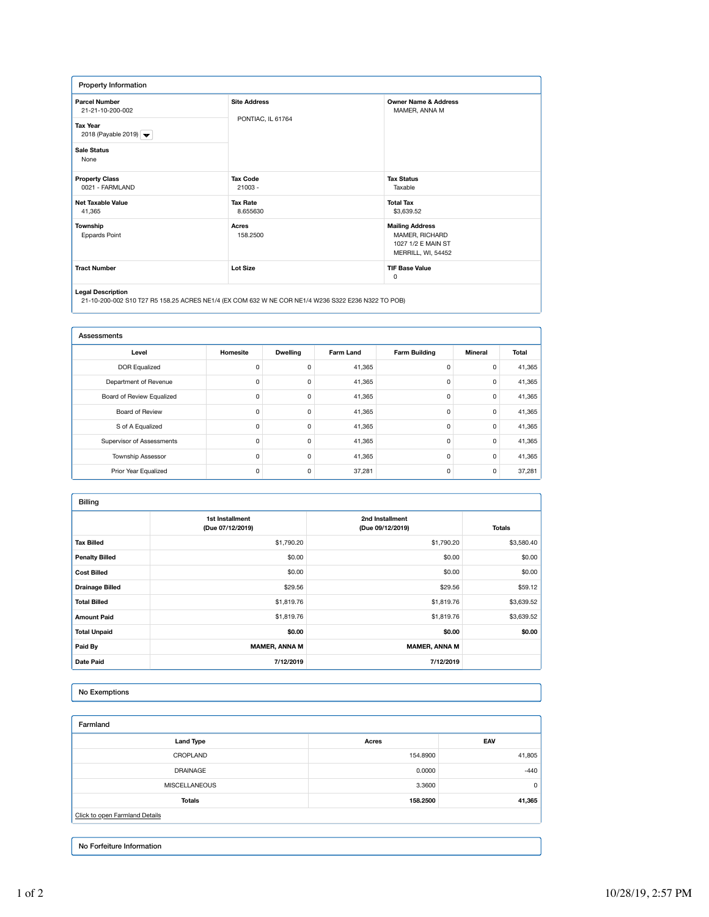| Property Information                                                                                                                   |                                          |                                                                                      |  |  |
|----------------------------------------------------------------------------------------------------------------------------------------|------------------------------------------|--------------------------------------------------------------------------------------|--|--|
| <b>Parcel Number</b><br>21-21-10-200-002<br><b>Tax Year</b><br>2018 (Payable 2019) $\blacktriangleright$<br><b>Sale Status</b><br>None | <b>Site Address</b><br>PONTIAC, IL 61764 | <b>Owner Name &amp; Address</b><br>MAMER, ANNA M                                     |  |  |
| <b>Property Class</b><br>0021 - FARMLAND                                                                                               | <b>Tax Code</b><br>$21003 -$             | <b>Tax Status</b><br>Taxable                                                         |  |  |
| <b>Net Taxable Value</b><br>41,365                                                                                                     | <b>Tax Rate</b><br>8.655630              | <b>Total Tax</b><br>\$3,639.52                                                       |  |  |
| Township<br><b>Eppards Point</b>                                                                                                       | Acres<br>158,2500                        | <b>Mailing Address</b><br>MAMER, RICHARD<br>1027 1/2 E MAIN ST<br>MERRILL, WI, 54452 |  |  |
| <b>Tract Number</b>                                                                                                                    | <b>Lot Size</b>                          | <b>TIF Base Value</b><br>0                                                           |  |  |
| <b>Line of Programmers</b>                                                                                                             |                                          |                                                                                      |  |  |

**Legal Description** 21-10-200-002 S10 T27 R5 158.25 ACRES NE1/4 (EX COM 632 W NE COR NE1/4 W236 S322 E236 N322 TO POB)

| Assessments               |          |                 |           |                      |                |        |
|---------------------------|----------|-----------------|-----------|----------------------|----------------|--------|
| Level                     | Homesite | <b>Dwelling</b> | Farm Land | <b>Farm Building</b> | <b>Mineral</b> | Total  |
| <b>DOR Equalized</b>      | 0        | 0               | 41,365    | 0                    | 0              | 41,365 |
| Department of Revenue     | 0        | 0               | 41,365    | 0                    | 0              | 41,365 |
| Board of Review Equalized | 0        | 0               | 41,365    | 0                    | 0              | 41,365 |
| Board of Review           | 0        | 0               | 41,365    | 0                    | 0              | 41,365 |
| S of A Equalized          | 0        | 0               | 41,365    | 0                    | 0              | 41,365 |
| Supervisor of Assessments | 0        | 0               | 41,365    | 0                    | 0              | 41,365 |
| <b>Township Assessor</b>  | 0        | 0               | 41,365    | 0                    | 0              | 41,365 |
| Prior Year Equalized      | 0        | 0               | 37,281    | 0                    | 0              | 37,281 |

| <b>Billing</b>         |                                     |                                     |               |
|------------------------|-------------------------------------|-------------------------------------|---------------|
|                        | 1st Installment<br>(Due 07/12/2019) | 2nd Installment<br>(Due 09/12/2019) | <b>Totals</b> |
| <b>Tax Billed</b>      | \$1,790.20                          | \$1,790.20                          | \$3,580.40    |
| <b>Penalty Billed</b>  | \$0.00                              | \$0.00                              | \$0.00        |
| <b>Cost Billed</b>     | \$0.00                              | \$0.00                              | \$0.00        |
| <b>Drainage Billed</b> | \$29.56                             | \$29.56                             | \$59.12       |
| <b>Total Billed</b>    | \$1,819.76                          | \$1,819.76                          | \$3,639.52    |
| <b>Amount Paid</b>     | \$1,819.76                          | \$1,819.76                          | \$3,639.52    |
| <b>Total Unpaid</b>    | \$0.00                              | \$0.00                              | \$0.00        |
| Paid By                | <b>MAMER, ANNA M</b>                | <b>MAMER, ANNA M</b>                |               |
| <b>Date Paid</b>       | 7/12/2019                           | 7/12/2019                           |               |

## No Exemptions

| Farmland                       |          |        |  |  |
|--------------------------------|----------|--------|--|--|
| <b>Land Type</b>               | Acres    | EAV    |  |  |
| CROPLAND                       | 154,8900 | 41,805 |  |  |
| <b>DRAINAGE</b>                | 0.0000   | $-440$ |  |  |
| <b>MISCELLANEOUS</b>           | 3.3600   | 0      |  |  |
| <b>Totals</b>                  | 158.2500 | 41,365 |  |  |
| Click to open Farmland Details |          |        |  |  |
|                                |          |        |  |  |
|                                |          |        |  |  |

No Forfeiture Information